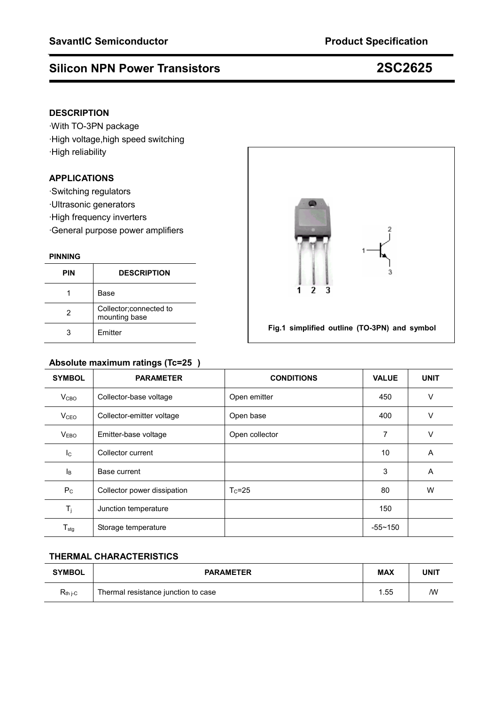### **DESCRIPTION**

·With TO-3PN package ·High voltage,high speed switching ·High reliability

### **APPLICATIONS**

·Switching regulators

- ·Ultrasonic generators
- ·High frequency inverters
- ·General purpose power amplifiers

#### **PINNING**

| <b>PIN</b> | <b>DESCRIPTION</b>                       |  |
|------------|------------------------------------------|--|
|            | Base                                     |  |
| 2          | Collector; connected to<br>mounting base |  |
|            | <b>Fmitter</b>                           |  |

# **Absolute maximum ratings (Tc=25)**

| 3<br>$\overline{\mathbf{3}}$<br>$\overline{2}$<br>1 |
|-----------------------------------------------------|
| Fig.1 simplified outline (TO-3PN) and symbol        |

|                            | ັ'<br>$\sim$ $\sim$         |                   |              |             |
|----------------------------|-----------------------------|-------------------|--------------|-------------|
| <b>SYMBOL</b>              | <b>PARAMETER</b>            | <b>CONDITIONS</b> | <b>VALUE</b> | <b>UNIT</b> |
| V <sub>CBO</sub>           | Collector-base voltage      | Open emitter      | 450          | $\vee$      |
| <b>V</b> <sub>CEO</sub>    | Collector-emitter voltage   | Open base         | 400          | $\vee$      |
| V <sub>EBO</sub>           | Emitter-base voltage        | Open collector    | 7            | V           |
| $I_{\rm C}$                | Collector current           |                   | 10           | A           |
| Iв                         | Base current                |                   | 3            | A           |
| $P_{\rm C}$                | Collector power dissipation | $T_c = 25$        | 80           | W           |
| $T_j$                      | Junction temperature        |                   | 150          |             |
| ${\mathsf T}_{\text{stg}}$ | Storage temperature         |                   | $-55 - 150$  |             |

### **THERMAL CHARACTERISTICS**

| <b>SYMBOL</b> | <b>PARAMETER</b>                    | <b>MAX</b> | UNIT |
|---------------|-------------------------------------|------------|------|
| $R_{th i-C}$  | Thermal resistance junction to case |            | ΛW   |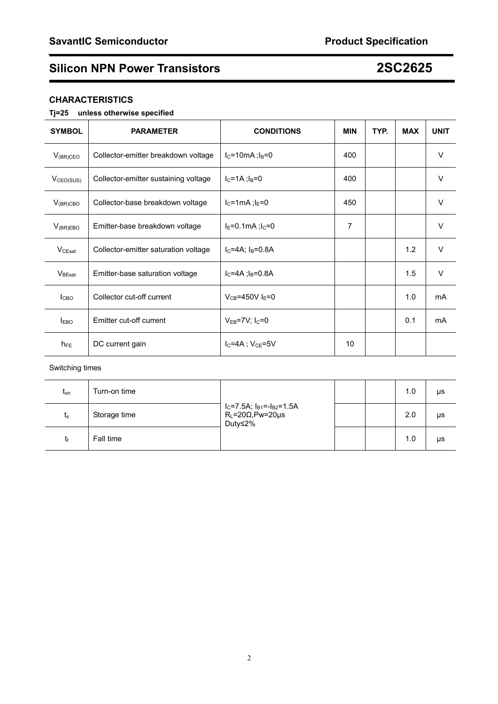### **CHARACTERISTICS**

#### **Tj=25 unless otherwise specified**

| <b>SYMBOL</b>         | <b>PARAMETER</b>                     | <b>CONDITIONS</b>               | <b>MIN</b> | TYP. | <b>MAX</b> | <b>UNIT</b> |
|-----------------------|--------------------------------------|---------------------------------|------------|------|------------|-------------|
| $V_{(BR)CEO}$         | Collector-emitter breakdown voltage  | $I_C = 10mA; I_B = 0$           | 400        |      |            | V           |
| V <sub>CEO(SUS)</sub> | Collector-emitter sustaining voltage | $I_{C} = 1A$ ; $I_{B} = 0$      | 400        |      |            | $\vee$      |
| $V_{(BR)CBO}$         | Collector-base breakdown voltage     | $I_C = 1mA$ ; $I_E = 0$         | 450        |      |            | V           |
| $V_{(BR)EBO}$         | Emitter-base breakdown voltage       | $I_E = 0.1mA; I_C = 0$          | 7          |      |            | V           |
| $V_{CEsat}$           | Collector-emitter saturation voltage | $I_{C} = 4A$ ; $I_{B} = 0.8A$   |            |      | 1.2        | $\vee$      |
| $V_{\text{BEsat}}$    | Emitter-base saturation voltage      | $I_{C} = 4A$ ; $I_{B} = 0.8A$   |            |      | 1.5        | $\vee$      |
| <b>I</b> CBO          | Collector cut-off current            | $V_{CB} = 450V I_E = 0$         |            |      | 1.0        | mA          |
| $I_{EBO}$             | Emitter cut-off current              | $V_{EB}$ =7V; I <sub>C</sub> =0 |            |      | 0.1        | mA          |
| $h_{FE}$              | DC current gain                      | $I_C = 4A$ ; $V_{CE} = 5V$      | 10         |      |            |             |

#### Switching times

| $t_{on}$    | Turn-on time | $I_C$ =7.5A; $I_{B1}$ =- $I_{B2}$ =1.5A<br>$R_L = 20\Omega, Pw = 20\mu s$<br>Duty≤2% |  | 1.0 | μs |
|-------------|--------------|--------------------------------------------------------------------------------------|--|-----|----|
| $t_{\rm s}$ | Storage time |                                                                                      |  | 2.0 | μs |
|             | Fall time    |                                                                                      |  | 1.0 | μs |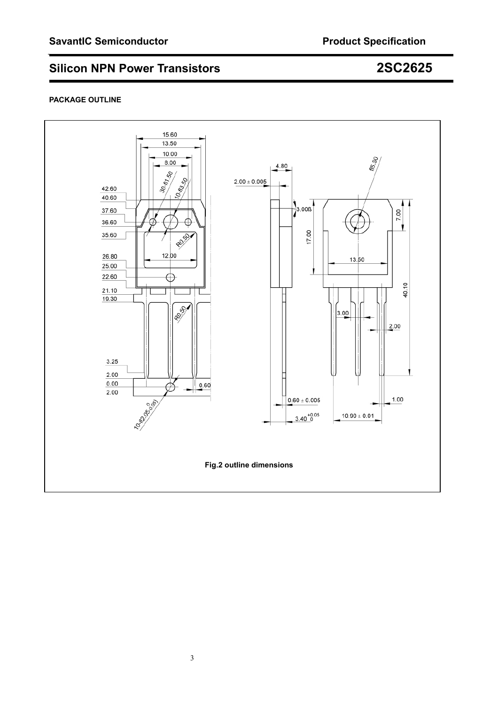#### **PACKAGE OUTLINE**